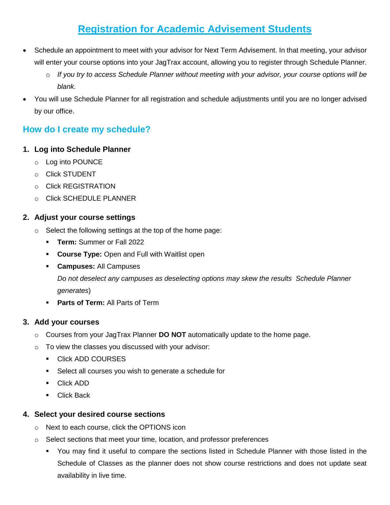# **Registration for Academic Advisement Students**

- Schedule an appointment to meet with your advisor for Next Term Advisement. In that meeting, your advisor will enter your course options into your JagTrax account, allowing you to register through Schedule Planner.
	- o *If you try to access Schedule Planner without meeting with your advisor, your course options will be blank.*
- You will use Schedule Planner for all registration and schedule adjustments until you are no longer advised by our office.

# **How do I create my schedule?**

## **1. Log into Schedule Planner**

- o Log into POUNCE
- o Click STUDENT
- o Click REGISTRATION
- o Click SCHEDULE PLANNER

## **2. Adjust your course settings**

- o Select the following settings at the top of the home page:
	- **Term:** Summer or Fall 2022
	- **Course Type:** Open and Full with Waitlist open
	- **Campuses:** All Campuses

*Do not deselect any campuses as deselecting options may skew the results Schedule Planner generates*)

**Parts of Term:** All Parts of Term

# **3. Add your courses**

- o Courses from your JagTrax Planner **DO NOT** automatically update to the home page.
- o To view the classes you discussed with your advisor:
	- **Click ADD COURSES**
	- Select all courses you wish to generate a schedule for
	- Click ADD
	- **Click Back**

# **4. Select your desired course sections**

- o Next to each course, click the OPTIONS icon
- $\circ$  Select sections that meet your time, location, and professor preferences
	- You may find it useful to compare the sections listed in Schedule Planner with those listed in the Schedule of Classes as the planner does not show course restrictions and does not update seat availability in live time.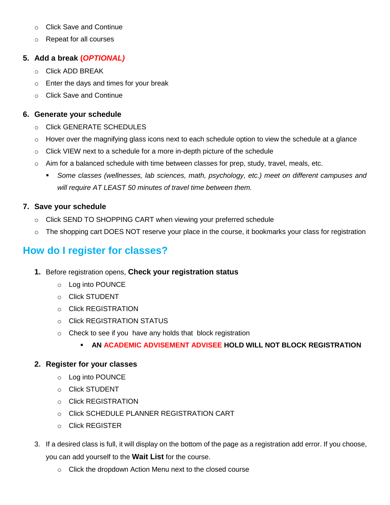- o Click Save and Continue
- o Repeat for all courses

### **5. Add a break (***OPTIONAL)*

- o Click ADD BREAK
- o Enter the days and times for your break
- o Click Save and Continue

#### **6. Generate your schedule**

- o Click GENERATE SCHEDULES
- $\circ$  Hover over the magnifying glass icons next to each schedule option to view the schedule at a glance
- $\circ$  Click VIEW next to a schedule for a more in-depth picture of the schedule
- $\circ$  Aim for a balanced schedule with time between classes for prep, study, travel, meals, etc.
	- *Some classes (wellnesses, lab sciences, math, psychology, etc.) meet on different campuses and will require AT LEAST 50 minutes of travel time between them.*

#### **7. Save your schedule**

- $\circ$  Click SEND TO SHOPPING CART when viewing your preferred schedule
- $\circ$  The shopping cart DOES NOT reserve your place in the course, it bookmarks your class for registration

# **How do I register for classes?**

- **1.** Before registration opens, **Check your registration status**
	- o Log into POUNCE
	- o Click STUDENT
	- o Click REGISTRATION
	- o Click REGISTRATION STATUS
	- o Check to see if you have any holds that block registration
		- **AN ACADEMIC ADVISEMENT ADVISEE HOLD WILL NOT BLOCK REGISTRATION**

#### **2. Register for your classes**

- o Log into POUNCE
- o Click STUDENT
- o Click REGISTRATION
- o Click SCHEDULE PLANNER REGISTRATION CART
- o Click REGISTER
- 3. If a desired class is full, it will display on the bottom of the page as a registration add error. If you choose, you can add yourself to the **Wait List** for the course.
	- o Click the dropdown Action Menu next to the closed course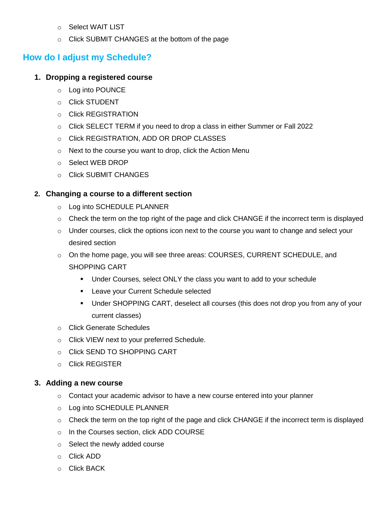- o Select WAIT LIST
- o Click SUBMIT CHANGES at the bottom of the page

# **How do I adjust my Schedule?**

#### **1. Dropping a registered course**

- o Log into POUNCE
- o Click STUDENT
- o Click REGISTRATION
- o Click SELECT TERM if you need to drop a class in either Summer or Fall 2022
- o Click REGISTRATION, ADD OR DROP CLASSES
- o Next to the course you want to drop, click the Action Menu
- o Select WEB DROP
- o Click SUBMIT CHANGES

#### **2. Changing a course to a different section**

- o Log into SCHEDULE PLANNER
- $\circ$  Check the term on the top right of the page and click CHANGE if the incorrect term is displayed
- o Under courses, click the options icon next to the course you want to change and select your desired section
- o On the home page, you will see three areas: COURSES, CURRENT SCHEDULE, and SHOPPING CART
	- Under Courses, select ONLY the class you want to add to your schedule
	- **EXEC** Leave your Current Schedule selected
	- Under SHOPPING CART, deselect all courses (this does not drop you from any of your current classes)
- o Click Generate Schedules
- o Click VIEW next to your preferred Schedule.
- o Click SEND TO SHOPPING CART
- o Click REGISTER

#### **3. Adding a new course**

- o Contact your academic advisor to have a new course entered into your planner
- o Log into SCHEDULE PLANNER
- o Check the term on the top right of the page and click CHANGE if the incorrect term is displayed
- o In the Courses section, click ADD COURSE
- o Select the newly added course
- o Click ADD
- o Click BACK